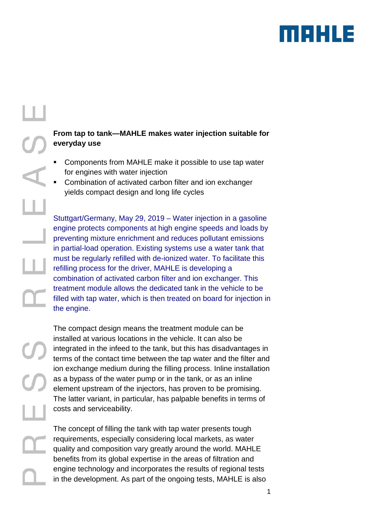

# the engine.

# **From tap to tank—MAHLE makes water injection suitable for everyday use**

- Components from MAHLE make it possible to use tap water for engines with water injection
- Combination of activated carbon filter and ion exchanger yields compact design and long life cycles

Stuttgart/Germany, May 29, 2019 – Water injection in a gasoline engine protects components at high engine speeds and loads by preventing mixture enrichment and reduces pollutant emissions in partial-load operation. Existing systems use a water tank that must be regularly refilled with de-ionized water. To facilitate this refilling process for the driver, MAHLE is developing a combination of activated carbon filter and ion exchanger. This treatment module allows the dedicated tank in the vehicle to be filled with tap water, which is then treated on board for injection in

The compact design means the treatment module can be installed at various locations in the vehicle. It can also be integrated in the infeed to the tank, but this has disadvantages in terms of the contact time between the tap water and the filter and ion exchange medium during the filling process. Inline installation as a bypass of the water pump or in the tank, or as an inline element upstream of the injectors, has proven to be promising. The latter variant, in particular, has palpable benefits in terms of costs and serviceability.

The concept of filling the tank with tap water presents tough requirements, especially considering local markets, as water quality and composition vary greatly around the world. MAHLE benefits from its global expertise in the areas of filtration and engine technology and incorporates the results of regional tests in the development. As part of the ongoing tests, MAHLE is also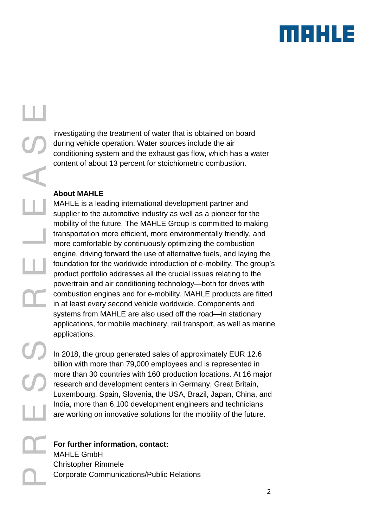

investigating the treatment of water that is obtained on board during vehicle operation. Water sources include the air conditioning system and the exhaust gas flow, which has a water content of about 13 percent for stoichiometric combustion.

## **About MAHLE**

MAHLE is a leading international development partner and supplier to the automotive industry as well as a pioneer for the mobility of the future. The MAHLE Group is committed to making transportation more efficient, more environmentally friendly, and more comfortable by continuously optimizing the combustion engine, driving forward the use of alternative fuels, and laying the foundation for the worldwide introduction of e-mobility. The group's product portfolio addresses all the crucial issues relating to the powertrain and air conditioning technology—both for drives with combustion engines and for e-mobility. MAHLE products are fitted in at least every second vehicle worldwide. Components and systems from MAHLE are also used off the road—in stationary applications, for mobile machinery, rail transport, as well as marine applications.

In 2018, the group generated sales of approximately EUR 12.6 billion with more than 79,000 employees and is represented in more than 30 countries with 160 production locations. At 16 major research and development centers in Germany, Great Britain, Luxembourg, Spain, Slovenia, the USA, Brazil, Japan, China, and India, more than 6,100 development engineers and technicians are working on innovative solutions for the mobility of the future.

# **For further information, contact:** MAHLE GmbH Christopher Rimmele Corporate Communications/Public Relations